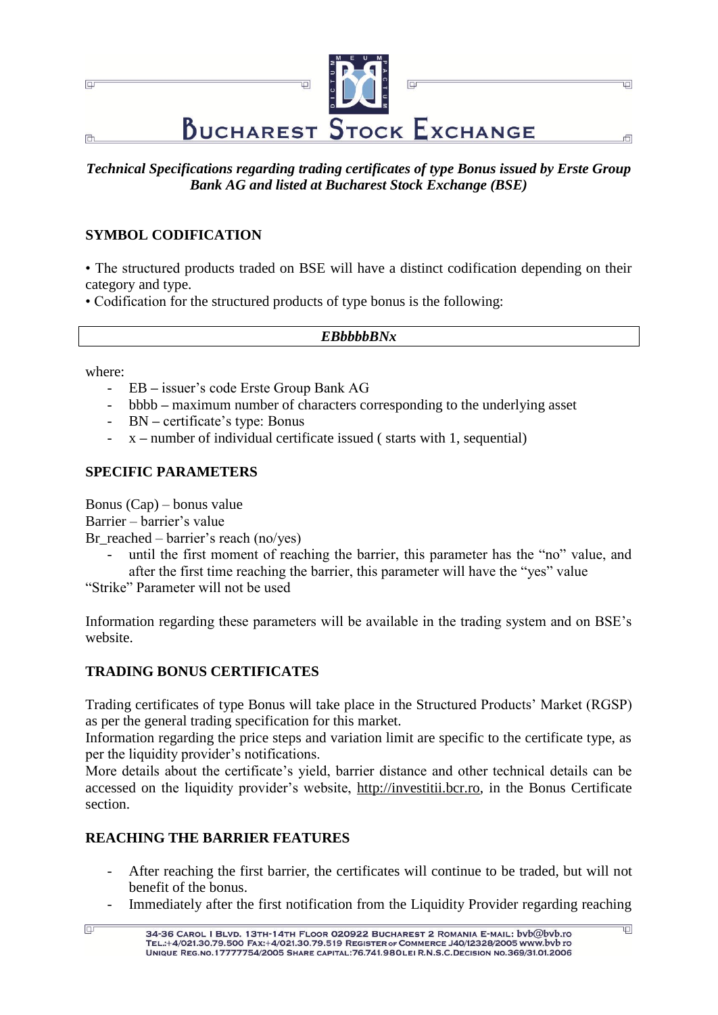

*Technical Specifications regarding trading certificates of type Bonus issued by Erste Group Bank AG and listed at Bucharest Stock Exchange (BSE)*

## **SYMBOL CODIFICATION**

• The structured products traded on BSE will have a distinct codification depending on their category and type.

• Codification for the structured products of type bonus is the following:

#### *EBbbbbBNx*

where:

 $\Box$ 

- EB **–** issuer"s code Erste Group Bank AG
- bbbb **–** maximum number of characters corresponding to the underlying asset
- BN **–** certificate"s type: Bonus
- x **–** number of individual certificate issued ( starts with 1, sequential)

#### **SPECIFIC PARAMETERS**

Bonus (Cap) – bonus value

Barrier – barrier's value

Br reached – barrier's reach (no/yes)

until the first moment of reaching the barrier, this parameter has the "no" value, and after the first time reaching the barrier, this parameter will have the "yes" value

"Strike" Parameter will not be used

Information regarding these parameters will be available in the trading system and on BSE"s website.

### **TRADING BONUS CERTIFICATES**

Trading certificates of type Bonus will take place in the Structured Products" Market (RGSP) as per the general trading specification for this market.

Information regarding the price steps and variation limit are specific to the certificate type, as per the liquidity provider"s notifications.

More details about the certificate"s yield, barrier distance and other technical details can be accessed on the liquidity provider's website, [http://investitii.bcr.ro,](http://investitii.bcr.ro/) in the Bonus Certificate section.

### **REACHING THE BARRIER FEATURES**

- After reaching the first barrier, the certificates will continue to be traded, but will not benefit of the bonus.
- Immediately after the first notification from the Liquidity Provider regarding reaching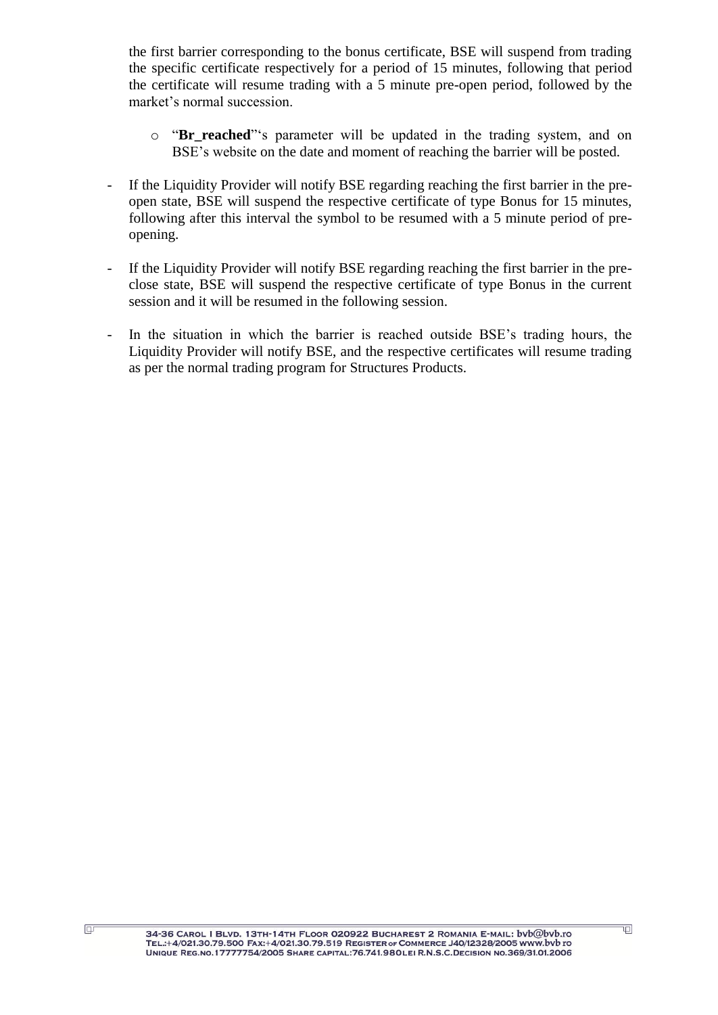the first barrier corresponding to the bonus certificate, BSE will suspend from trading the specific certificate respectively for a period of 15 minutes, following that period the certificate will resume trading with a 5 minute pre-open period, followed by the market's normal succession.

- o "**Br reached**"'s parameter will be updated in the trading system, and on BSE's website on the date and moment of reaching the barrier will be posted.
- If the Liquidity Provider will notify BSE regarding reaching the first barrier in the preopen state, BSE will suspend the respective certificate of type Bonus for 15 minutes, following after this interval the symbol to be resumed with a 5 minute period of preopening.
- If the Liquidity Provider will notify BSE regarding reaching the first barrier in the preclose state, BSE will suspend the respective certificate of type Bonus in the current session and it will be resumed in the following session.
- In the situation in which the barrier is reached outside BSE"s trading hours, the Liquidity Provider will notify BSE, and the respective certificates will resume trading as per the normal trading program for Structures Products.

 $\Box$